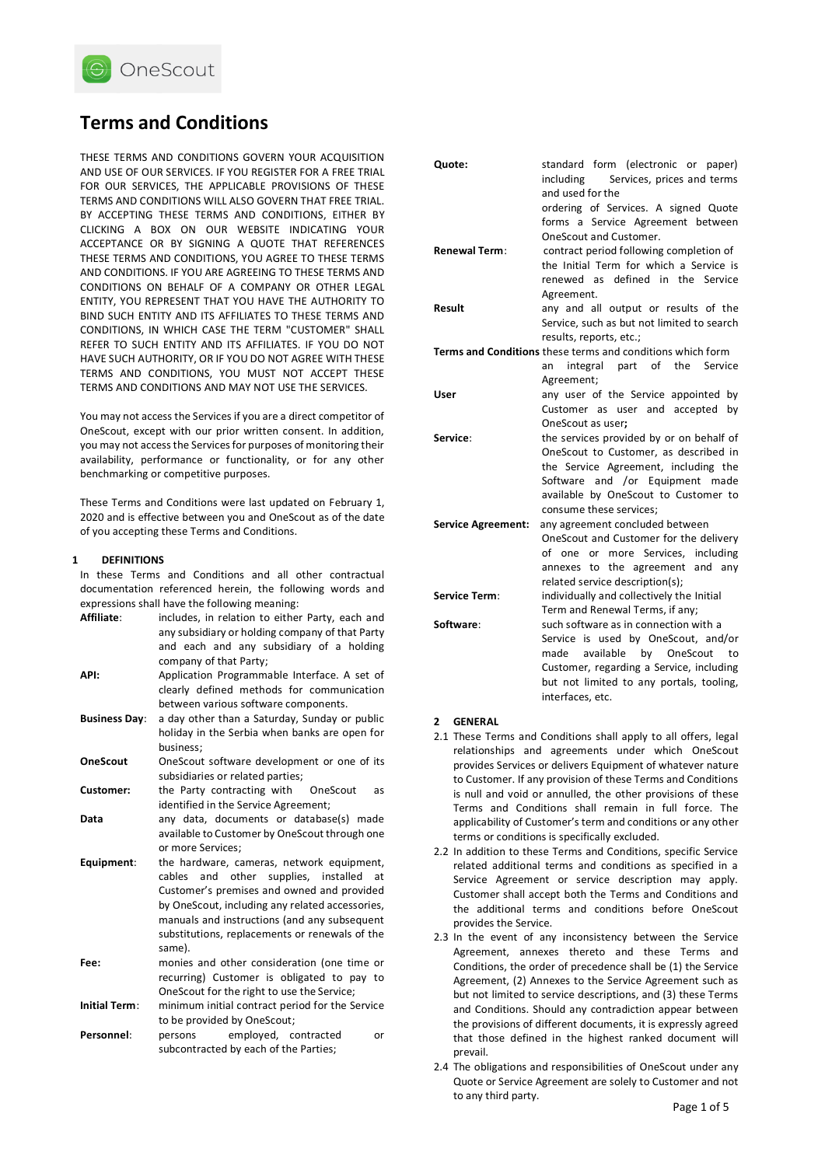

# **Terms and Conditions**

THESE TERMS AND CONDITIONS GOVERN YOUR ACQUISITION AND USE OF OUR SERVICES. IF YOU REGISTER FOR A FREE TRIAL FOR OUR SERVICES, THE APPLICABLE PROVISIONS OF THESE TERMS AND CONDITIONS WILL ALSO GOVERN THAT FREE TRIAL. BY ACCEPTING THESE TERMS AND CONDITIONS, EITHER BY CLICKING A BOX ON OUR WEBSITE INDICATING YOUR ACCEPTANCE OR BY SIGNING A QUOTE THAT REFERENCES THESE TERMS AND CONDITIONS, YOU AGREE TO THESE TERMS AND CONDITIONS. IF YOU ARE AGREEING TO THESE TERMS AND CONDITIONS ON BEHALF OF A COMPANY OR OTHER LEGAL ENTITY, YOU REPRESENT THAT YOU HAVE THE AUTHORITY TO BIND SUCH ENTITY AND ITS AFFILIATES TO THESE TERMS AND CONDITIONS, IN WHICH CASE THE TERM "CUSTOMER" SHALL REFER TO SUCH ENTITY AND ITS AFFILIATES. IF YOU DO NOT HAVE SUCH AUTHORITY, OR IF YOU DO NOT AGREE WITH THESE TERMS AND CONDITIONS, YOU MUST NOT ACCEPT THESE TERMS AND CONDITIONS AND MAY NOT USE THE SERVICES.

You may not access the Services if you are a direct competitor of OneScout, except with our prior written consent. In addition, you may not access the Services for purposes of monitoring their availability, performance or functionality, or for any other benchmarking or competitive purposes.

These Terms and Conditions were last updated on February 1, 2020 and is effective between you and OneScout as of the date of you accepting these Terms and Conditions.

## **1 DEFINITIONS**

In these Terms and Conditions and all other contractual documentation referenced herein, the following words and expressions shall have the following meaning:

| Affiliate:           | includes, in relation to either Party, each and<br>any subsidiary or holding company of that Party |
|----------------------|----------------------------------------------------------------------------------------------------|
|                      | and each and any subsidiary of a holding                                                           |
| API:                 | company of that Party;<br>Application Programmable Interface. A set of                             |
|                      | clearly defined methods for communication                                                          |
|                      | between various software components.                                                               |
| <b>Business Day:</b> | a day other than a Saturday, Sunday or public                                                      |
|                      | holiday in the Serbia when banks are open for                                                      |
|                      | business:                                                                                          |
| <b>OneScout</b>      | OneScout software development or one of its                                                        |
|                      | subsidiaries or related parties;                                                                   |
| Customer:            | the Party contracting with OneScout<br>as                                                          |
|                      | identified in the Service Agreement;                                                               |
| Data                 | any data, documents or database(s) made                                                            |
|                      | available to Customer by OneScout through one<br>or more Services;                                 |
| Equipment:           | the hardware, cameras, network equipment,                                                          |
|                      | and other supplies, installed<br>cables<br>at                                                      |
|                      | Customer's premises and owned and provided                                                         |
|                      | by OneScout, including any related accessories,                                                    |
|                      | manuals and instructions (and any subsequent                                                       |
|                      | substitutions, replacements or renewals of the                                                     |
|                      | same).                                                                                             |
| Fee:                 | monies and other consideration (one time or                                                        |
|                      | recurring) Customer is obligated to pay to                                                         |
|                      | OneScout for the right to use the Service;                                                         |
| <b>Initial Term:</b> | minimum initial contract period for the Service                                                    |
|                      | to be provided by OneScout;                                                                        |
| Personnel:           | employed, contracted<br>persons<br>or<br>subcontracted by each of the Parties;                     |

| Quote:                                                     | standard form (electronic or paper)<br>Services, prices and terms<br>including<br>and used for the |
|------------------------------------------------------------|----------------------------------------------------------------------------------------------------|
|                                                            | ordering of Services. A signed Quote                                                               |
|                                                            | forms a Service Agreement between                                                                  |
|                                                            | OneScout and Customer.                                                                             |
| <b>Renewal Term:</b>                                       | contract period following completion of                                                            |
|                                                            | the Initial Term for which a Service is<br>renewed as defined in the Service                       |
|                                                            | Agreement.                                                                                         |
| Result                                                     | any and all output or results of the                                                               |
|                                                            | Service, such as but not limited to search                                                         |
|                                                            | results, reports, etc.;                                                                            |
| Terms and Conditions these terms and conditions which form |                                                                                                    |
|                                                            | integral part of the Service<br>an                                                                 |
|                                                            | Agreement;                                                                                         |
| User                                                       | any user of the Service appointed by                                                               |
|                                                            | Customer as user and accepted<br>by                                                                |
| Service:                                                   | OneScout as user:<br>the services provided by or on behalf of                                      |
|                                                            | OneScout to Customer, as described in                                                              |
|                                                            | the Service Agreement, including the                                                               |
|                                                            | Software and /or Equipment made                                                                    |
|                                                            | available by OneScout to Customer to                                                               |
|                                                            | consume these services;                                                                            |
| <b>Service Agreement:</b>                                  | any agreement concluded between                                                                    |
|                                                            | OneScout and Customer for the delivery                                                             |
|                                                            | of one or more Services, including<br>annexes to the agreement and any                             |
|                                                            | related service description(s);                                                                    |
| <b>Service Term:</b>                                       | individually and collectively the Initial                                                          |
|                                                            | Term and Renewal Terms, if any;                                                                    |
| Software:                                                  | such software as in connection with a                                                              |
|                                                            | Service is used by OneScout, and/or                                                                |
|                                                            | available<br>by OneScout<br>made<br>to                                                             |
|                                                            | Customer, regarding a Service, including                                                           |
|                                                            | but not limited to any portals, tooling,                                                           |
|                                                            | interfaces, etc.                                                                                   |

#### **2 GENERAL**

- 2.1 These Terms and Conditions shall apply to all offers, legal relationships and agreements under which OneScout provides Services or delivers Equipment of whatever nature to Customer. If any provision of these Terms and Conditions is null and void or annulled, the other provisions of these Terms and Conditions shall remain in full force. The applicability of Customer's term and conditions or any other terms or conditions is specifically excluded.
- 2.2 In addition to these Terms and Conditions, specific Service related additional terms and conditions as specified in a Service Agreement or service description may apply. Customer shall accept both the Terms and Conditions and the additional terms and conditions before OneScout provides the Service.
- 2.3 In the event of any inconsistency between the Service Agreement, annexes thereto and these Terms and Conditions, the order of precedence shall be (1) the Service Agreement, (2) Annexes to the Service Agreement such as but not limited to service descriptions, and (3) these Terms and Conditions. Should any contradiction appear between the provisions of different documents, it is expressly agreed that those defined in the highest ranked document will prevail.
- 2.4 The obligations and responsibilities of OneScout under any Quote or Service Agreement are solely to Customer and not to any third party.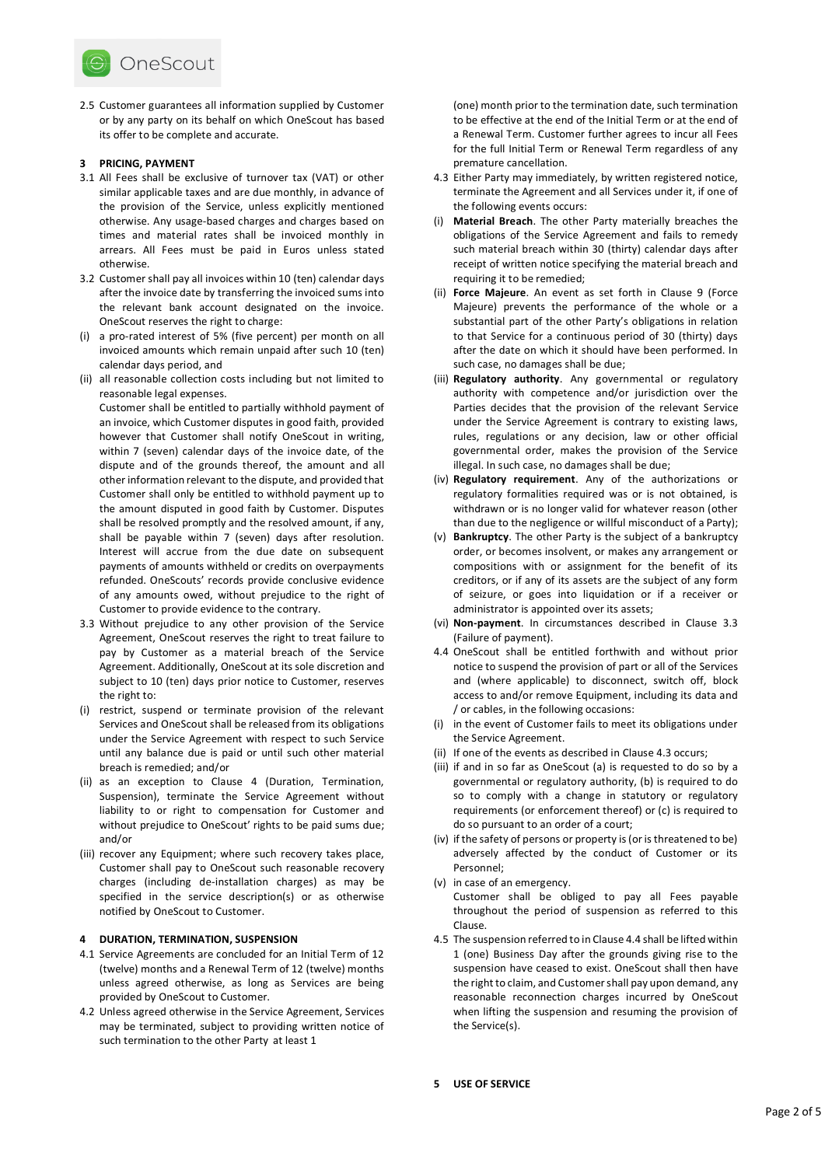

2.5 Customer guarantees all information supplied by Customer or by any party on its behalf on which OneScout has based its offer to be complete and accurate.

#### **3 PRICING, PAYMENT**

- 3.1 All Fees shall be exclusive of turnover tax (VAT) or other similar applicable taxes and are due monthly, in advance of the provision of the Service, unless explicitly mentioned otherwise. Any usage-based charges and charges based on times and material rates shall be invoiced monthly in arrears. All Fees must be paid in Euros unless stated otherwise.
- 3.2 Customer shall pay all invoices within 10 (ten) calendar days after the invoice date by transferring the invoiced sums into the relevant bank account designated on the invoice. OneScout reserves the right to charge:
- (i) a pro-rated interest of 5% (five percent) per month on all invoiced amounts which remain unpaid after such 10 (ten) calendar days period, and
- (ii) all reasonable collection costs including but not limited to reasonable legal expenses.

Customer shall be entitled to partially withhold payment of an invoice, which Customer disputes in good faith, provided however that Customer shall notify OneScout in writing, within 7 (seven) calendar days of the invoice date, of the dispute and of the grounds thereof, the amount and all other information relevant to the dispute, and provided that Customer shall only be entitled to withhold payment up to the amount disputed in good faith by Customer. Disputes shall be resolved promptly and the resolved amount, if any, shall be payable within 7 (seven) days after resolution. Interest will accrue from the due date on subsequent payments of amounts withheld or credits on overpayments refunded. OneScouts' records provide conclusive evidence of any amounts owed, without prejudice to the right of Customer to provide evidence to the contrary.

- 3.3 Without prejudice to any other provision of the Service Agreement, OneScout reserves the right to treat failure to pay by Customer as a material breach of the Service Agreement. Additionally, OneScout at its sole discretion and subject to 10 (ten) days prior notice to Customer, reserves the right to:
- (i) restrict, suspend or terminate provision of the relevant Services and OneScout shall be released from its obligations under the Service Agreement with respect to such Service until any balance due is paid or until such other material breach is remedied; and/or
- (ii) as an exception to Clause 4 (Duration, Termination, Suspension), terminate the Service Agreement without liability to or right to compensation for Customer and without prejudice to OneScout' rights to be paid sums due; and/or
- (iii) recover any Equipment; where such recovery takes place, Customer shall pay to OneScout such reasonable recovery charges (including de-installation charges) as may be specified in the service description(s) or as otherwise notified by OneScout to Customer.

#### **4 DURATION, TERMINATION, SUSPENSION**

- 4.1 Service Agreements are concluded for an Initial Term of 12 (twelve) months and a Renewal Term of 12 (twelve) months unless agreed otherwise, as long as Services are being provided by OneScout to Customer.
- 4.2 Unless agreed otherwise in the Service Agreement, Services may be terminated, subject to providing written notice of such termination to the other Party at least 1

(one) month prior to the termination date, such termination to be effective at the end of the Initial Term or at the end of a Renewal Term. Customer further agrees to incur all Fees for the full Initial Term or Renewal Term regardless of any premature cancellation.

- 4.3 Either Party may immediately, by written registered notice, terminate the Agreement and all Services under it, if one of the following events occurs:
- (i) **Material Breach**. The other Party materially breaches the obligations of the Service Agreement and fails to remedy such material breach within 30 (thirty) calendar days after receipt of written notice specifying the material breach and requiring it to be remedied;
- (ii) **Force Majeure**. An event as set forth in Clause 9 (Force Majeure) prevents the performance of the whole or a substantial part of the other Party's obligations in relation to that Service for a continuous period of 30 (thirty) days after the date on which it should have been performed. In such case, no damages shall be due;
- (iii) **Regulatory authority**. Any governmental or regulatory authority with competence and/or jurisdiction over the Parties decides that the provision of the relevant Service under the Service Agreement is contrary to existing laws, rules, regulations or any decision, law or other official governmental order, makes the provision of the Service illegal. In such case, no damages shall be due;
- (iv) **Regulatory requirement**. Any of the authorizations or regulatory formalities required was or is not obtained, is withdrawn or is no longer valid for whatever reason (other than due to the negligence or willful misconduct of a Party);
- (v) **Bankruptcy**. The other Party is the subject of a bankruptcy order, or becomes insolvent, or makes any arrangement or compositions with or assignment for the benefit of its creditors, or if any of its assets are the subject of any form of seizure, or goes into liquidation or if a receiver or administrator is appointed over its assets;
- (vi) **Non-payment**. In circumstances described in Clause 3.3 (Failure of payment).
- 4.4 OneScout shall be entitled forthwith and without prior notice to suspend the provision of part or all of the Services and (where applicable) to disconnect, switch off, block access to and/or remove Equipment, including its data and / or cables, in the following occasions:
- (i) in the event of Customer fails to meet its obligations under the Service Agreement.
- (ii) If one of the events as described in Clause 4.3 occurs;
- (iii) if and in so far as OneScout (a) is requested to do so by a governmental or regulatory authority, (b) is required to do so to comply with a change in statutory or regulatory requirements (or enforcement thereof) or (c) is required to do so pursuant to an order of a court;
- (iv) if the safety of persons or property is (or is threatened to be) adversely affected by the conduct of Customer or its Personnel;
- (v) in case of an emergency. Customer shall be obliged to pay all Fees payable throughout the period of suspension as referred to this Clause.
- 4.5 The suspension referred to in Clause 4.4 shall be lifted within 1 (one) Business Day after the grounds giving rise to the suspension have ceased to exist. OneScout shall then have the right to claim, and Customer shall pay upon demand, any reasonable reconnection charges incurred by OneScout when lifting the suspension and resuming the provision of the Service(s).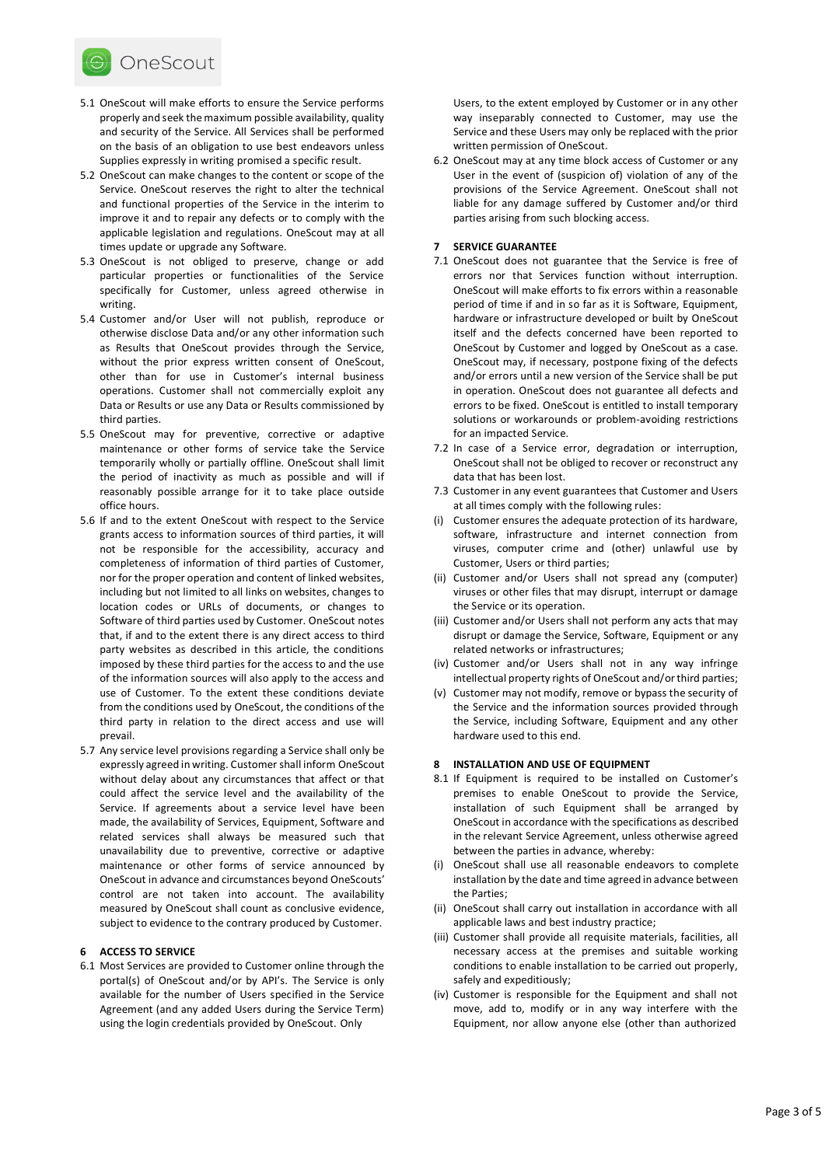

- 5.1 OneScout will make efforts to ensure the Service performs properly and seek the maximum possible availability, quality and security of the Service. All Services shall be performed on the basis of an obligation to use best endeavors unless Supplies expressly in writing promised a specific result.
- 5.2 OneScout can make changes to the content or scope of the Service. OneScout reserves the right to alter the technical and functional properties of the Service in the interim to improve it and to repair any defects or to comply with the applicable legislation and regulations. OneScout may at all times update or upgrade any Software.
- 5.3 OneScout is not obliged to preserve, change or add particular properties or functionalities of the Service specifically for Customer, unless agreed otherwise in writing.
- 5.4 Customer and/or User will not publish, reproduce or otherwise disclose Data and/or any other information such as Results that OneScout provides through the Service, without the prior express written consent of OneScout, other than for use in Customer's internal business operations. Customer shall not commercially exploit any Data or Results or use any Data or Results commissioned by third parties.
- 5.5 OneScout may for preventive, corrective or adaptive maintenance or other forms of service take the Service temporarily wholly or partially offline. OneScout shall limit the period of inactivity as much as possible and will if reasonably possible arrange for it to take place outside office hours.
- 5.6 If and to the extent OneScout with respect to the Service grants access to information sources of third parties, it will not be responsible for the accessibility, accuracy and completeness of information of third parties of Customer, nor for the proper operation and content of linked websites, including but not limited to all links on websites, changes to location codes or URLs of documents, or changes to Software of third parties used by Customer. OneScout notes that, if and to the extent there is any direct access to third party websites as described in this article, the conditions imposed by these third parties for the access to and the use of the information sources will also apply to the access and use of Customer. To the extent these conditions deviate from the conditions used by OneScout, the conditions of the third party in relation to the direct access and use will prevail.
- 5.7 Any service level provisions regarding a Service shall only be expressly agreed in writing. Customer shall inform OneScout without delay about any circumstances that affect or that could affect the service level and the availability of the Service. If agreements about a service level have been made, the availability of Services, Equipment, Software and related services shall always be measured such that unavailability due to preventive, corrective or adaptive maintenance or other forms of service announced by OneScout in advance and circumstances beyond OneScouts' control are not taken into account. The availability measured by OneScout shall count as conclusive evidence, subject to evidence to the contrary produced by Customer.

#### **6 ACCESS TO SERVICE**

6.1 Most Services are provided to Customer online through the portal(s) of OneScout and/or by API's. The Service is only available for the number of Users specified in the Service Agreement (and any added Users during the Service Term) using the login credentials provided by OneScout. Only

Users, to the extent employed by Customer or in any other way inseparably connected to Customer, may use the Service and these Users may only be replaced with the prior written permission of OneScout.

6.2 OneScout may at any time block access of Customer or any User in the event of (suspicion of) violation of any of the provisions of the Service Agreement. OneScout shall not liable for any damage suffered by Customer and/or third parties arising from such blocking access.

#### **7 SERVICE GUARANTEE**

- 7.1 OneScout does not guarantee that the Service is free of errors nor that Services function without interruption. OneScout will make efforts to fix errors within a reasonable period of time if and in so far as it is Software, Equipment, hardware or infrastructure developed or built by OneScout itself and the defects concerned have been reported to OneScout by Customer and logged by OneScout as a case. OneScout may, if necessary, postpone fixing of the defects and/or errors until a new version of the Service shall be put in operation. OneScout does not guarantee all defects and errors to be fixed. OneScout is entitled to install temporary solutions or workarounds or problem-avoiding restrictions for an impacted Service.
- 7.2 In case of a Service error, degradation or interruption, OneScout shall not be obliged to recover or reconstruct any data that has been lost.
- 7.3 Customer in any event guarantees that Customer and Users at all times comply with the following rules:
- (i) Customer ensures the adequate protection of its hardware, software, infrastructure and internet connection from viruses, computer crime and (other) unlawful use by Customer, Users or third parties;
- (ii) Customer and/or Users shall not spread any (computer) viruses or other files that may disrupt, interrupt or damage the Service or its operation.
- (iii) Customer and/or Users shall not perform any acts that may disrupt or damage the Service, Software, Equipment or any related networks or infrastructures;
- (iv) Customer and/or Users shall not in any way infringe intellectual property rights of OneScout and/or third parties;
- (v) Customer may not modify, remove or bypass the security of the Service and the information sources provided through the Service, including Software, Equipment and any other hardware used to this end.

#### **8 INSTALLATION AND USE OF EQUIPMENT**

- 8.1 If Equipment is required to be installed on Customer's premises to enable OneScout to provide the Service, installation of such Equipment shall be arranged by OneScout in accordance with the specifications as described in the relevant Service Agreement, unless otherwise agreed between the parties in advance, whereby:
- (i) OneScout shall use all reasonable endeavors to complete installation by the date and time agreed in advance between the Parties;
- (ii) OneScout shall carry out installation in accordance with all applicable laws and best industry practice;
- (iii) Customer shall provide all requisite materials, facilities, all necessary access at the premises and suitable working conditions to enable installation to be carried out properly, safely and expeditiously;
- (iv) Customer is responsible for the Equipment and shall not move, add to, modify or in any way interfere with the Equipment, nor allow anyone else (other than authorized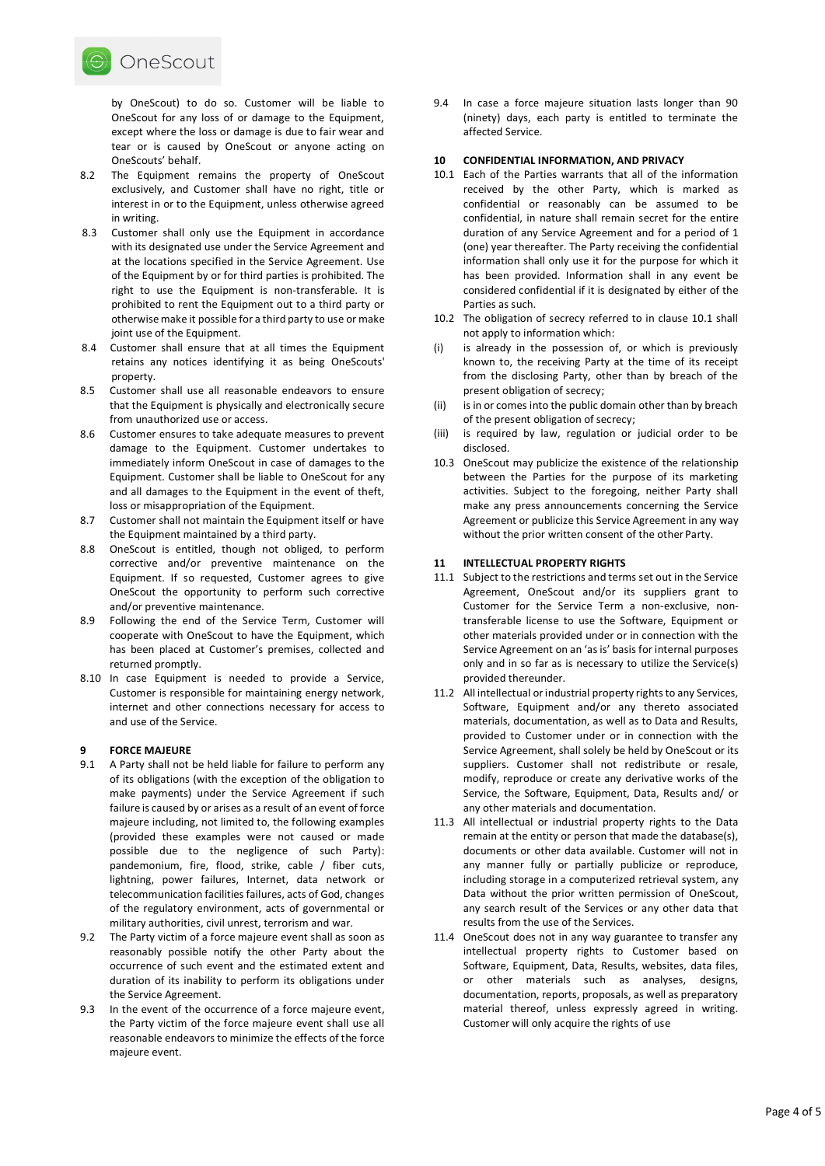

by OneScout) to do so. Customer will be liable to OneScout for any loss of or damage to the Equipment, except where the loss or damage is due to fair wear and tear or is caused by OneScout or anyone acting on OneScouts' behalf.

- 8.2 The Equipment remains the property of OneScout exclusively, and Customer shall have no right, title or interest in or to the Equipment, unless otherwise agreed in writing.
- 8.3 Customer shall only use the Equipment in accordance with its designated use under the Service Agreement and at the locations specified in the Service Agreement. Use of the Equipment by or for third parties is prohibited. The right to use the Equipment is non-transferable. It is prohibited to rent the Equipment out to a third party or otherwise make it possible for a third party to use or make joint use of the Equipment.
- 8.4 Customer shall ensure that at all times the Equipment retains any notices identifying it as being OneScouts' property.
- 8.5 Customer shall use all reasonable endeavors to ensure that the Equipment is physically and electronically secure from unauthorized use or access.
- 8.6 Customer ensures to take adequate measures to prevent damage to the Equipment. Customer undertakes to immediately inform OneScout in case of damages to the Equipment. Customer shall be liable to OneScout for any and all damages to the Equipment in the event of theft, loss or misappropriation of the Equipment.
- 8.7 Customer shall not maintain the Equipment itself or have the Equipment maintained by a third party.
- 8.8 OneScout is entitled, though not obliged, to perform corrective and/or preventive maintenance on the Equipment. If so requested, Customer agrees to give OneScout the opportunity to perform such corrective and/or preventive maintenance.
- 8.9 Following the end of the Service Term, Customer will cooperate with OneScout to have the Equipment, which has been placed at Customer's premises, collected and returned promptly.
- 8.10 In case Equipment is needed to provide a Service, Customer is responsible for maintaining energy network, internet and other connections necessary for access to and use of the Service.

## **9 FORCE MAJEURE**

- 9.1 A Party shall not be held liable for failure to perform any of its obligations (with the exception of the obligation to make payments) under the Service Agreement if such failure is caused by or arises as a result of an event of force majeure including, not limited to, the following examples (provided these examples were not caused or made possible due to the negligence of such Party): pandemonium, fire, flood, strike, cable / fiber cuts, lightning, power failures, Internet, data network or telecommunication facilities failures, acts of God, changes of the regulatory environment, acts of governmental or military authorities, civil unrest, terrorism and war.
- 9.2 The Party victim of a force majeure event shall as soon as reasonably possible notify the other Party about the occurrence of such event and the estimated extent and duration of its inability to perform its obligations under the Service Agreement.
- 9.3 In the event of the occurrence of a force majeure event, the Party victim of the force majeure event shall use all reasonable endeavors to minimize the effects of the force majeure event.

9.4 In case a force majeure situation lasts longer than 90 (ninety) days, each party is entitled to terminate the affected Service.

### **10 CONFIDENTIAL INFORMATION, AND PRIVACY**

- 10.1 Each of the Parties warrants that all of the information received by the other Party, which is marked as confidential or reasonably can be assumed to be confidential, in nature shall remain secret for the entire duration of any Service Agreement and for a period of 1 (one) year thereafter. The Party receiving the confidential information shall only use it for the purpose for which it has been provided. Information shall in any event be considered confidential if it is designated by either of the Parties as such.
- 10.2 The obligation of secrecy referred to in clause 10.1 shall not apply to information which:
- (i) is already in the possession of, or which is previously known to, the receiving Party at the time of its receipt from the disclosing Party, other than by breach of the present obligation of secrecy;
- (ii) is in or comes into the public domain other than by breach of the present obligation of secrecy;
- (iii) is required by law, regulation or judicial order to be disclosed.
- 10.3 OneScout may publicize the existence of the relationship between the Parties for the purpose of its marketing activities. Subject to the foregoing, neither Party shall make any press announcements concerning the Service Agreement or publicize this Service Agreement in any way without the prior written consent of the other Party.

#### **11 INTELLECTUAL PROPERTY RIGHTS**

- 11.1 Subject to the restrictions and terms set out in the Service Agreement, OneScout and/or its suppliers grant to Customer for the Service Term a non-exclusive, nontransferable license to use the Software, Equipment or other materials provided under or in connection with the Service Agreement on an 'as is' basis for internal purposes only and in so far as is necessary to utilize the Service(s) provided thereunder.
- 11.2 All intellectual or industrial property rights to any Services, Software, Equipment and/or any thereto associated materials, documentation, as well as to Data and Results, provided to Customer under or in connection with the Service Agreement, shall solely be held by OneScout or its suppliers. Customer shall not redistribute or resale, modify, reproduce or create any derivative works of the Service, the Software, Equipment, Data, Results and/ or any other materials and documentation.
- 11.3 All intellectual or industrial property rights to the Data remain at the entity or person that made the database(s), documents or other data available. Customer will not in any manner fully or partially publicize or reproduce, including storage in a computerized retrieval system, any Data without the prior written permission of OneScout, any search result of the Services or any other data that results from the use of the Services.
- 11.4 OneScout does not in any way guarantee to transfer any intellectual property rights to Customer based on Software, Equipment, Data, Results, websites, data files, or other materials such as analyses, designs, documentation, reports, proposals, as well as preparatory material thereof, unless expressly agreed in writing. Customer will only acquire the rights of use